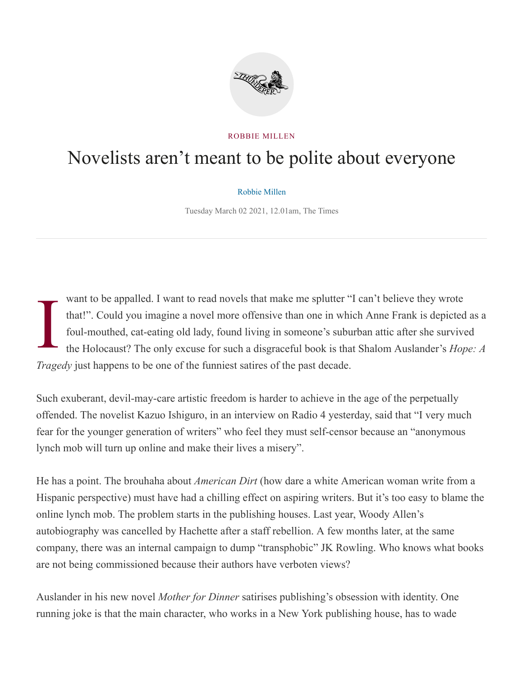

## ROBBIE MILLEN

## Novelists aren't meant to be polite about everyone

## [Robbie Millen](https://www.thetimes.co.uk/profile/robbie-millen)

Tuesday March 02 2021, 12.01am, The Times

I want to be appalled. I want to read novels that make me splutter "I can't believe they wrote that!". Could you imagine a novel more offensive than one in which Anne Frank is depicted as a foul-mouthed, cat-eating old lady, found living in someone's suburban attic after she survived the Holocaust? The only excuse for such a disgraceful book is that Shalom Auslander's *Hope: A Tragedy* just happens to be one of the funniest satires of the past decade.

Such exuberant, devil-may-care artistic freedom is harder to achieve in the age of the perpetually offended. The novelist Kazuo Ishiguro, in an interview on Radio 4 yesterday, said that "I very much fear for the younger generation of writers" who feel they must self-censor because an "anonymous lynch mob will turn up online and make their lives a misery".

He has a point. The brouhaha about *American Dirt* (how dare a white American woman write from a Hispanic perspective) must have had a chilling effect on aspiring writers. But it's too easy to blame the online lynch mob. The problem starts in the publishing houses. Last year, Woody Allen's autobiography was cancelled by Hachette after a staff rebellion. A few months later, at the same company, there was an internal campaign to dump "transphobic" JK Rowling. Who knows what books are not being commissioned because their authors have verboten views?

Auslander in his new novel *Mother for Dinner* satirises publishing's obsession with identity. One running joke is that the main character, who works in a New York publishing house, has to wade